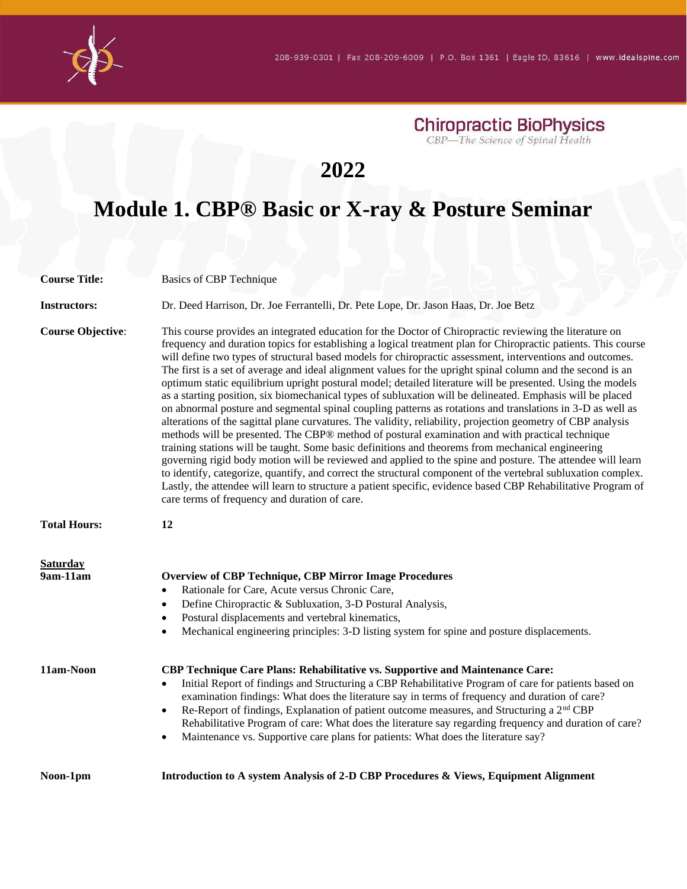**Chiropractic BioPhysics**<br>CBP—The Science of Spinal Health

## **2022**

## **Module 1. CBP® Basic or X-ray & Posture Seminar**

| <b>Course Title:</b>     | Basics of CBP Technique                                                                                                                                                                                                                                                                                                                                                                                                                                                                                                                                                                                                                                                                                                                                                                                                                                                                                                                                                                                                                                                                                                                                                                                                                                                                                                                                                                                                                                                                                                  |
|--------------------------|--------------------------------------------------------------------------------------------------------------------------------------------------------------------------------------------------------------------------------------------------------------------------------------------------------------------------------------------------------------------------------------------------------------------------------------------------------------------------------------------------------------------------------------------------------------------------------------------------------------------------------------------------------------------------------------------------------------------------------------------------------------------------------------------------------------------------------------------------------------------------------------------------------------------------------------------------------------------------------------------------------------------------------------------------------------------------------------------------------------------------------------------------------------------------------------------------------------------------------------------------------------------------------------------------------------------------------------------------------------------------------------------------------------------------------------------------------------------------------------------------------------------------|
| <b>Instructors:</b>      | Dr. Deed Harrison, Dr. Joe Ferrantelli, Dr. Pete Lope, Dr. Jason Haas, Dr. Joe Betz                                                                                                                                                                                                                                                                                                                                                                                                                                                                                                                                                                                                                                                                                                                                                                                                                                                                                                                                                                                                                                                                                                                                                                                                                                                                                                                                                                                                                                      |
| <b>Course Objective:</b> | This course provides an integrated education for the Doctor of Chiropractic reviewing the literature on<br>frequency and duration topics for establishing a logical treatment plan for Chiropractic patients. This course<br>will define two types of structural based models for chiropractic assessment, interventions and outcomes.<br>The first is a set of average and ideal alignment values for the upright spinal column and the second is an<br>optimum static equilibrium upright postural model; detailed literature will be presented. Using the models<br>as a starting position, six biomechanical types of subluxation will be delineated. Emphasis will be placed<br>on abnormal posture and segmental spinal coupling patterns as rotations and translations in 3-D as well as<br>alterations of the sagittal plane curvatures. The validity, reliability, projection geometry of CBP analysis<br>methods will be presented. The CBP® method of postural examination and with practical technique<br>training stations will be taught. Some basic definitions and theorems from mechanical engineering<br>governing rigid body motion will be reviewed and applied to the spine and posture. The attendee will learn<br>to identify, categorize, quantify, and correct the structural component of the vertebral subluxation complex.<br>Lastly, the attendee will learn to structure a patient specific, evidence based CBP Rehabilitative Program of<br>care terms of frequency and duration of care. |
| <b>Total Hours:</b>      | 12                                                                                                                                                                                                                                                                                                                                                                                                                                                                                                                                                                                                                                                                                                                                                                                                                                                                                                                                                                                                                                                                                                                                                                                                                                                                                                                                                                                                                                                                                                                       |
| <b>Saturday</b>          |                                                                                                                                                                                                                                                                                                                                                                                                                                                                                                                                                                                                                                                                                                                                                                                                                                                                                                                                                                                                                                                                                                                                                                                                                                                                                                                                                                                                                                                                                                                          |
| 9am-11am                 | <b>Overview of CBP Technique, CBP Mirror Image Procedures</b><br>Rationale for Care, Acute versus Chronic Care,<br>Define Chiropractic & Subluxation, 3-D Postural Analysis,<br>٠<br>Postural displacements and vertebral kinematics,<br>$\bullet$<br>Mechanical engineering principles: 3-D listing system for spine and posture displacements.                                                                                                                                                                                                                                                                                                                                                                                                                                                                                                                                                                                                                                                                                                                                                                                                                                                                                                                                                                                                                                                                                                                                                                         |
| 11am-Noon                | <b>CBP Technique Care Plans: Rehabilitative vs. Supportive and Maintenance Care:</b><br>Initial Report of findings and Structuring a CBP Rehabilitative Program of care for patients based on<br>$\bullet$<br>examination findings: What does the literature say in terms of frequency and duration of care?<br>Re-Report of findings, Explanation of patient outcome measures, and Structuring a 2 <sup>nd</sup> CBP<br>$\bullet$<br>Rehabilitative Program of care: What does the literature say regarding frequency and duration of care?<br>Maintenance vs. Supportive care plans for patients: What does the literature say?<br>$\bullet$                                                                                                                                                                                                                                                                                                                                                                                                                                                                                                                                                                                                                                                                                                                                                                                                                                                                           |
| Noon-1pm                 | Introduction to A system Analysis of 2-D CBP Procedures & Views, Equipment Alignment                                                                                                                                                                                                                                                                                                                                                                                                                                                                                                                                                                                                                                                                                                                                                                                                                                                                                                                                                                                                                                                                                                                                                                                                                                                                                                                                                                                                                                     |